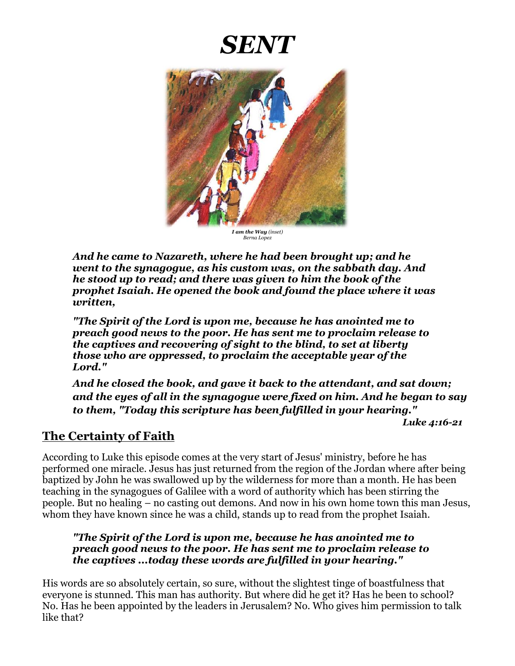# *SENT*



*I am the Way (inset) Berna Lopez*

*And he came to Nazareth, where he had been brought up; and he went to the synagogue, as his custom was, on the sabbath day. And he stood up to read; and there was given to him the book of the prophet Isaiah. He opened the book and found the place where it was written,* 

*"The Spirit of the Lord is upon me, because he has anointed me to preach good news to the poor. He has sent me to proclaim release to the captives and recovering of sight to the blind, to set at liberty those who are oppressed, to proclaim the acceptable year of the Lord."* 

*And he closed the book, and gave it back to the attendant, and sat down; and the eyes of all in the synagogue were fixed on him. And he began to say to them, "Today this scripture has been fulfilled in your hearing."*

*Luke 4:16-21* 

### **The Certainty of Faith**

According to Luke this episode comes at the very start of Jesus' ministry, before he has performed one miracle. Jesus has just returned from the region of the Jordan where after being baptized by John he was swallowed up by the wilderness for more than a month. He has been teaching in the synagogues of Galilee with a word of authority which has been stirring the people. But no healing – no casting out demons. And now in his own home town this man Jesus, whom they have known since he was a child, stands up to read from the prophet Isaiah.

#### *"The Spirit of the Lord is upon me, because he has anointed me to preach good news to the poor. He has sent me to proclaim release to the captives ...today these words are fulfilled in your hearing."*

His words are so absolutely certain, so sure, without the slightest tinge of boastfulness that everyone is stunned. This man has authority. But where did he get it? Has he been to school? No. Has he been appointed by the leaders in Jerusalem? No. Who gives him permission to talk like that?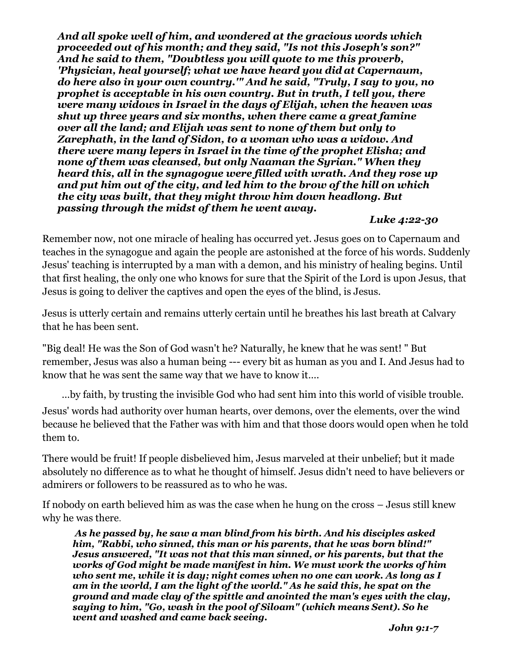*And all spoke well of him, and wondered at the gracious words which proceeded out of his month; and they said, "Is not this Joseph's son?" And he said to them, "Doubtless you will quote to me this proverb, 'Physician, heal yourself; what we have heard you did at Capernaum, do here also in your own country.'" And he said, "Truly, I say to you, no prophet is acceptable in his own country. But in truth, I tell you, there were many widows in Israel in the days of Elijah, when the heaven was shut up three years and six months, when there came a great famine over all the land; and Elijah was sent to none of them but only to Zarephath, in the land of Sidon, to a woman who was a widow. And there were many lepers in Israel in the time of the prophet Elisha; and none of them was cleansed, but only Naaman the Syrian." When they heard this, all in the synagogue were filled with wrath. And they rose up and put him out of the city, and led him to the brow of the hill on which the city was built, that they might throw him down headlong. But passing through the midst of them he went away.*

#### *Luke 4:22-30*

Remember now, not one miracle of healing has occurred yet. Jesus goes on to Capernaum and teaches in the synagogue and again the people are astonished at the force of his words. Suddenly Jesus' teaching is interrupted by a man with a demon, and his ministry of healing begins. Until that first healing, the only one who knows for sure that the Spirit of the Lord is upon Jesus, that Jesus is going to deliver the captives and open the eyes of the blind, is Jesus.

Jesus is utterly certain and remains utterly certain until he breathes his last breath at Calvary that he has been sent.

"Big deal! He was the Son of God wasn't he? Naturally, he knew that he was sent! " But remember, Jesus was also a human being --- every bit as human as you and I. And Jesus had to know that he was sent the same way that we have to know it….

…by faith, by trusting the invisible God who had sent him into this world of visible trouble.

Jesus' words had authority over human hearts, over demons, over the elements, over the wind because he believed that the Father was with him and that those doors would open when he told them to.

There would be fruit! If people disbelieved him, Jesus marveled at their unbelief; but it made absolutely no difference as to what he thought of himself. Jesus didn't need to have believers or admirers or followers to be reassured as to who he was.

If nobody on earth believed him as was the case when he hung on the cross – Jesus still knew why he was there.

*As he passed by, he saw a man blind from his birth. And his disciples asked him, "Rabbi, who sinned, this man or his parents, that he was born blind!" Jesus answered, "It was not that this man sinned, or his parents, but that the works of God might be made manifest in him. We must work the works of him who sent me, while it is day; night comes when no one can work. As long as I am in the world, I am the light of the world." As he said this, he spat on the ground and made clay of the spittle and anointed the man's eyes with the clay, saying to him, "Go, wash in the pool of Siloam" (which means Sent). So he went and washed and came back seeing.*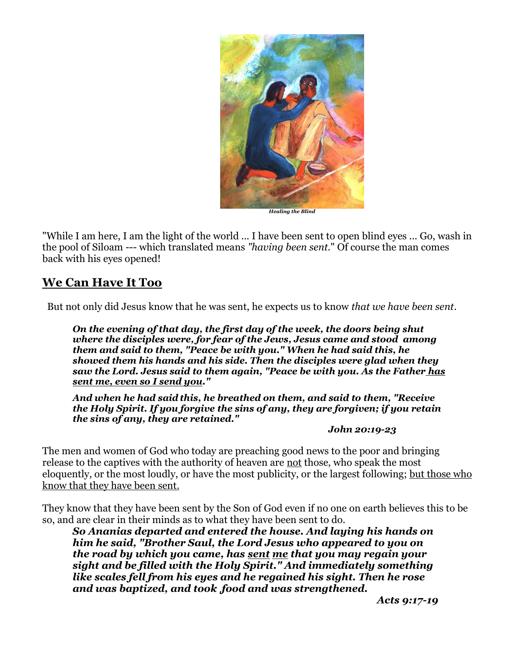

"While I am here, I am the light of the world ... I have been sent to open blind eyes ... Go, wash in the pool of Siloam --- which translated means *"having been sent.*" Of course the man comes back with his eyes opened!

## **We Can Have It Too**

But not only did Jesus know that he was sent, he expects us to know *that we have been sent*.

*On the evening of that day, the first day of the week, the doors being shut where the disciples were, for fear of the Jews, Jesus came and stood among them and said to them, "Peace be with you." When he had said this, he showed them his hands and his side. Then the disciples were glad when they saw the Lord. Jesus said to them again, "Peace be with you. As the Father has sent me, even so I send you."* 

*And when he had said this, he breathed on them, and said to them, "Receive the Holy Spirit. If you forgive the sins of any, they are forgiven; if you retain the sins of any, they are retained."*

#### *John 20:19-23*

The men and women of God who today are preaching good news to the poor and bringing release to the captives with the authority of heaven are not those, who speak the most eloquently, or the most loudly, or have the most publicity, or the largest following; but those who know that they have been sent.

They know that they have been sent by the Son of God even if no one on earth believes this to be so, and are clear in their minds as to what they have been sent to do.

*So Ananias departed and entered the house. And laying his hands on him he said, "Brother Saul, the Lord Jesus who appeared to you on the road by which you came, has sent me that you may regain your sight and be filled with the Holy Spirit." And immediately something like scales fell from his eyes and he regained his sight. Then he rose and was baptized, and took .food and was strengthened.* 

*Acts 9:17-19*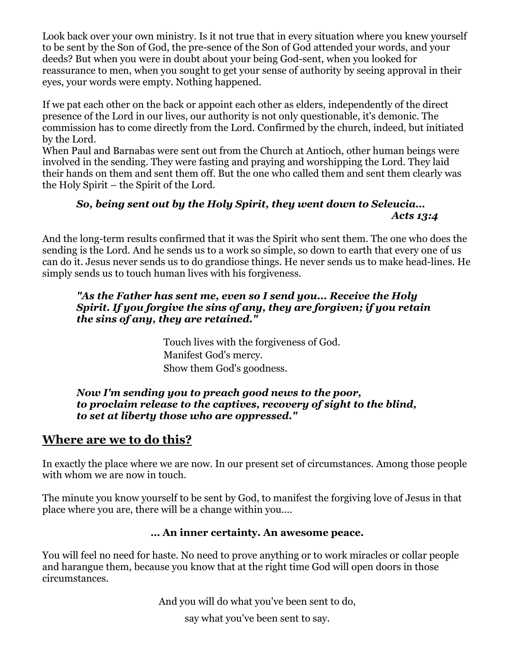Look back over your own ministry. Is it not true that in every situation where you knew yourself to be sent by the Son of God, the pre-sence of the Son of God attended your words, and your deeds? But when you were in doubt about your being God-sent, when you looked for reassurance to men, when you sought to get your sense of authority by seeing approval in their eyes, your words were empty. Nothing happened.

If we pat each other on the back or appoint each other as elders, independently of the direct presence of the Lord in our lives, our authority is not only questionable, it's demonic. The commission has to come directly from the Lord. Confirmed by the church, indeed, but initiated by the Lord.

When Paul and Barnabas were sent out from the Church at Antioch, other human beings were involved in the sending. They were fasting and praying and worshipping the Lord. They laid their hands on them and sent them off. But the one who called them and sent them clearly was the Holy Spirit – the Spirit of the Lord.

#### *So, being sent out by the Holy Spirit, they went down to Seleucia… Acts 13:4*

And the long-term results confirmed that it was the Spirit who sent them. The one who does the sending is the Lord. And he sends us to a work so simple, so down to earth that every one of us can do it. Jesus never sends us to do grandiose things. He never sends us to make head-lines. He simply sends us to touch human lives with his forgiveness.

#### *"As the Father has sent me, even so I send you... Receive the Holy Spirit. If you forgive the sins of any, they are forgiven; if you retain the sins of any, they are retained."*

Touch lives with the forgiveness of God. Manifest God's mercy. Show them God's goodness.

#### *Now I'm sending you to preach good news to the poor, to proclaim release to the captives, recovery of sight to the blind, to set at liberty those who are oppressed."*

## **Where are we to do this?**

In exactly the place where we are now. In our present set of circumstances. Among those people with whom we are now in touch.

The minute you know yourself to be sent by God, to manifest the forgiving love of Jesus in that place where you are, there will be a change within you....

#### **… An inner certainty. An awesome peace.**

You will feel no need for haste. No need to prove anything or to work miracles or collar people and harangue them, because you know that at the right time God will open doors in those circumstances.

And you will do what you've been sent to do,

say what you've been sent to say.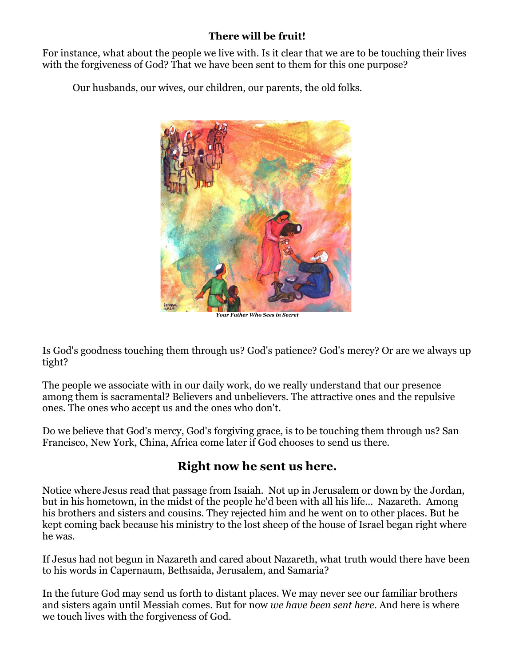## **There will be fruit!**

For instance, what about the people we live with. Is it clear that we are to be touching their lives with the forgiveness of God? That we have been sent to them for this one purpose?

Our husbands, our wives, our children, our parents, the old folks.



*Your Father Who Sees in Secret*

Is God's goodness touching them through us? God's patience? God's mercy? Or are we always up tight?

The people we associate with in our daily work, do we really understand that our presence among them is sacramental? Believers and unbelievers. The attractive ones and the repulsive ones. The ones who accept us and the ones who don't.

Do we believe that God's mercy, God's forgiving grace, is to be touching them through us? San Francisco, New York, China, Africa come later if God chooses to send us there.

## **Right now he sent us here.**

Notice where Jesus read that passage from Isaiah. Not up in Jerusalem or down by the Jordan, but in his hometown, in the midst of the people he'd been with all his life… Nazareth. Among his brothers and sisters and cousins. They rejected him and he went on to other places. But he kept coming back because his ministry to the lost sheep of the house of Israel began right where he was.

If Jesus had not begun in Nazareth and cared about Nazareth, what truth would there have been to his words in Capernaum, Bethsaida, Jerusalem, and Samaria?

In the future God may send us forth to distant places. We may never see our familiar brothers and sisters again until Messiah comes. But for now *we have been sent here*. And here is where we touch lives with the forgiveness of God.